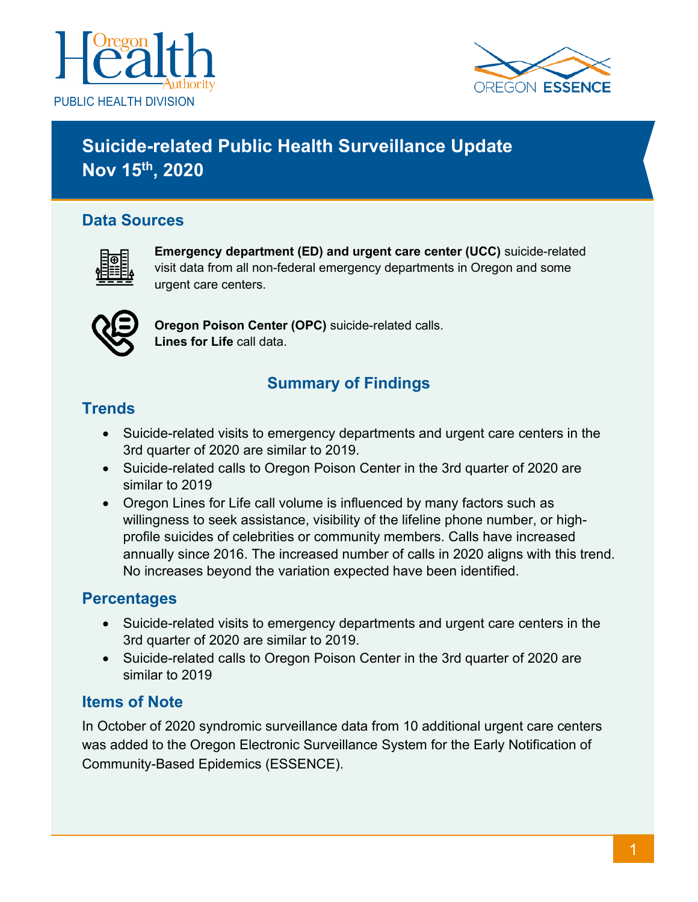



# **Suicide-related Public Health Surveillance Update Nov 15th, 2020**

### **Data Sources**



**Emergency department (ED) and urgent care center (UCC)** suicide-related visit data from all non-federal emergency departments in Oregon and some urgent care centers.



**Oregon Poison Center (OPC)** suicide-related calls. **Lines for Life** call data.

# **Summary of Findings**

### **Trends**

- Suicide-related visits to emergency departments and urgent care centers in the 3rd quarter of 2020 are similar to 2019.
- Suicide-related calls to Oregon Poison Center in the 3rd quarter of 2020 are similar to 2019
- Oregon Lines for Life call volume is influenced by many factors such as willingness to seek assistance, visibility of the lifeline phone number, or highprofile suicides of celebrities or community members. Calls have increased annually since 2016. The increased number of calls in 2020 aligns with this trend. No increases beyond the variation expected have been identified.

### **Percentages**

- Suicide-related visits to emergency departments and urgent care centers in the 3rd quarter of 2020 are similar to 2019.
- Suicide-related calls to Oregon Poison Center in the 3rd quarter of 2020 are similar to 2019

#### **Items of Note**

In October of 2020 syndromic surveillance data from 10 additional urgent care centers was added to the Oregon Electronic Surveillance System for the Early Notification of Community-Based Epidemics (ESSENCE).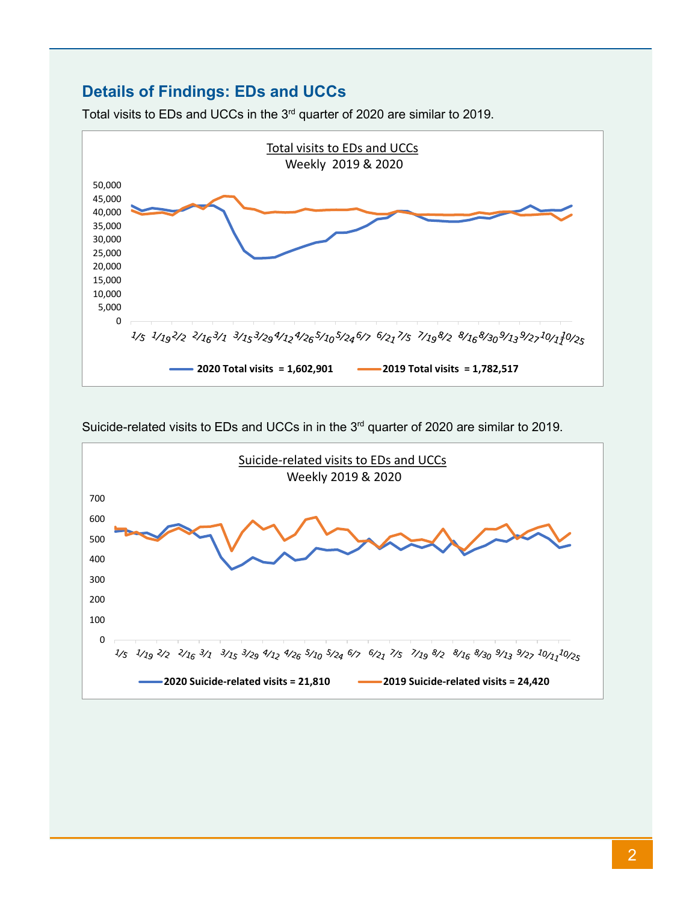#### **Details of Findings: EDs and UCCs**





Suicide-related visits to EDs and UCCs in in the 3<sup>rd</sup> quarter of 2020 are similar to 2019.

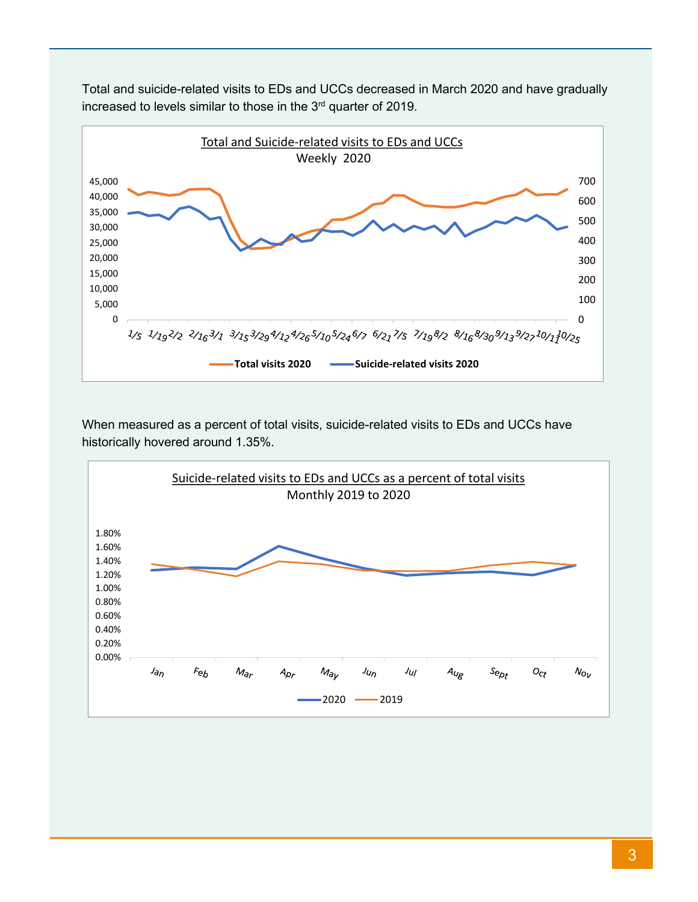

Total and suicide-related visits to EDs and UCCs decreased in March 2020 and have gradually increased to levels similar to those in the 3<sup>rd</sup> quarter of 2019.

When measured as a percent of total visits, suicide-related visits to EDs and UCCs have historically hovered around 1.35%.

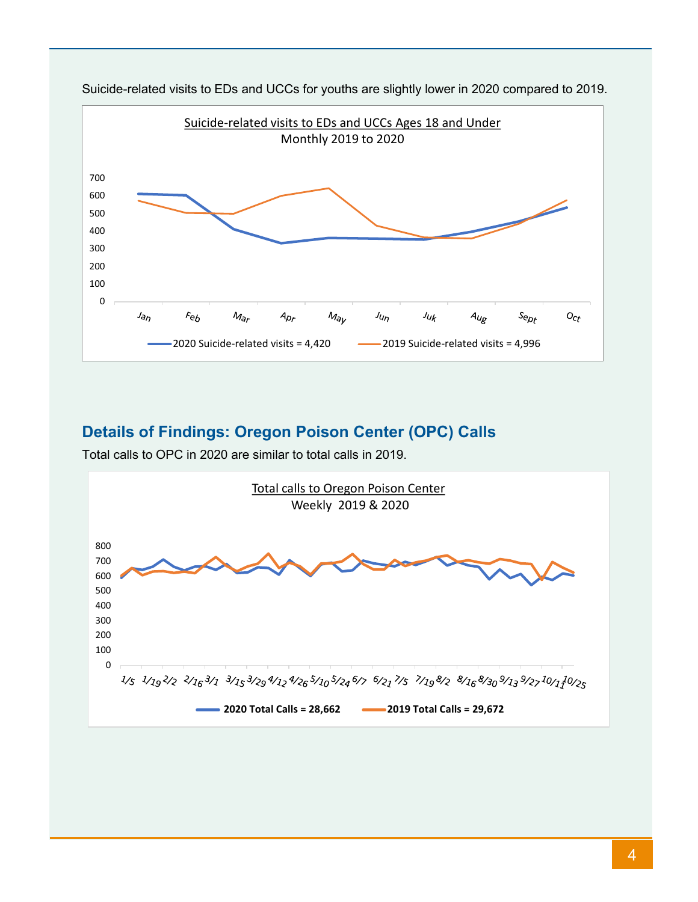

Suicide-related visits to EDs and UCCs for youths are slightly lower in 2020 compared to 2019.

### **Details of Findings: Oregon Poison Center (OPC) Calls**

Total calls to OPC in 2020 are similar to total calls in 2019.

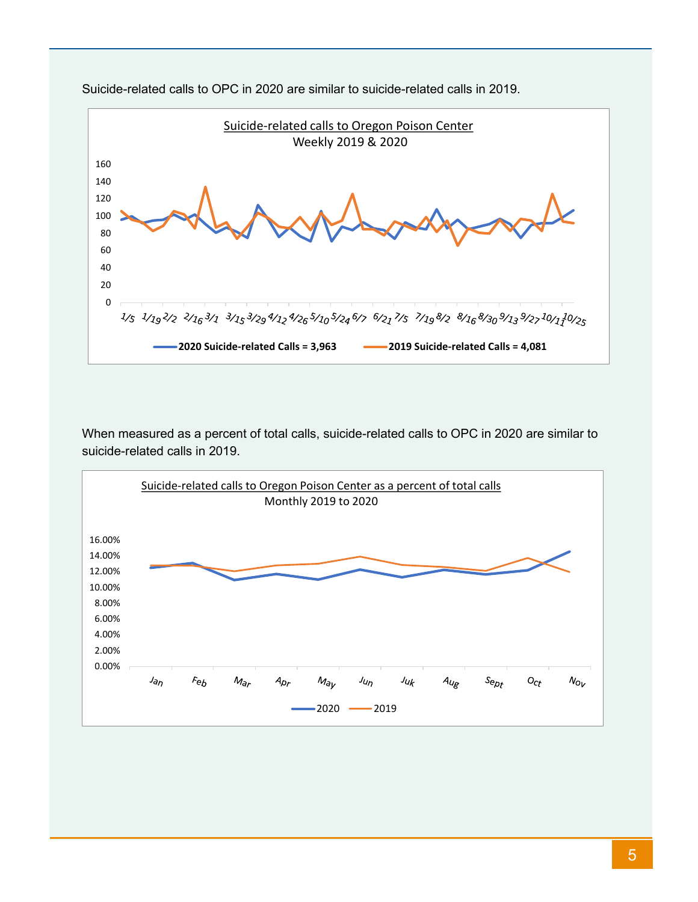

Suicide-related calls to OPC in 2020 are similar to suicide-related calls in 2019.

When measured as a percent of total calls, suicide-related calls to OPC in 2020 are similar to suicide-related calls in 2019.

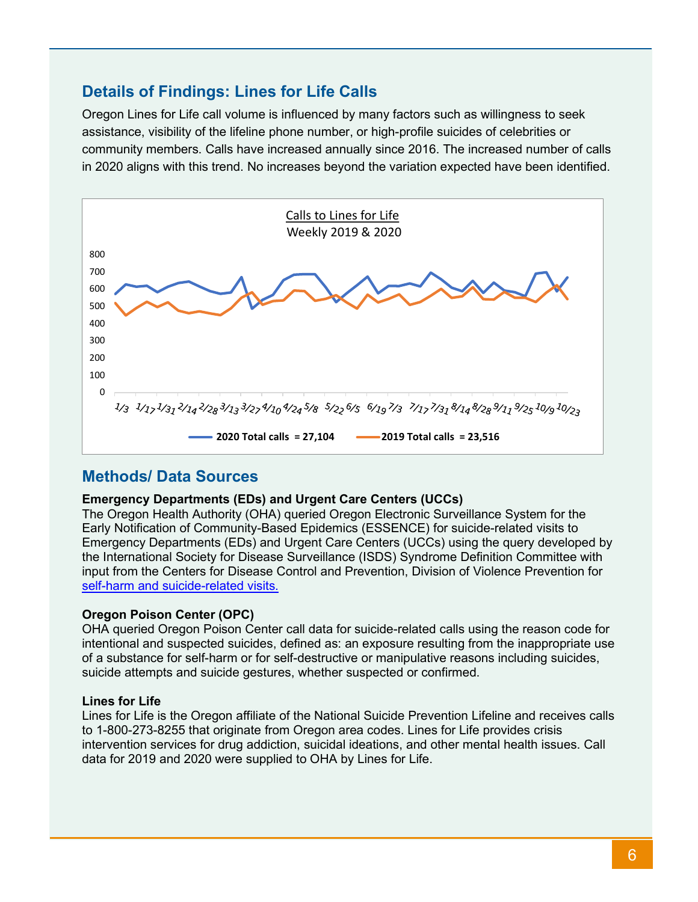#### **Details of Findings: Lines for Life Calls**

Oregon Lines for Life call volume is influenced by many factors such as willingness to seek assistance, visibility of the lifeline phone number, or high-profile suicides of celebrities or community members. Calls have increased annually since 2016. The increased number of calls in 2020 aligns with this trend. No increases beyond the variation expected have been identified.



#### **Methods/ Data Sources**

#### **Emergency Departments (EDs) and Urgent Care Centers (UCCs)**

The Oregon Health Authority (OHA) queried Oregon Electronic Surveillance System for the Early Notification of Community-Based Epidemics (ESSENCE) for suicide-related visits to Emergency Departments (EDs) and Urgent Care Centers (UCCs) using the query developed by the International Society for Disease Surveillance (ISDS) Syndrome Definition Committee with input from the Centers for Disease Control and Prevention, Division of Violence Prevention for [self-harm and suicide-related visits.](https://knowledgerepository.syndromicsurveillance.org/self-harm-and-suicide-related-syndrome-definition-committee)

#### **Oregon Poison Center (OPC)**

OHA queried Oregon Poison Center call data for suicide-related calls using the reason code for intentional and suspected suicides, defined as: an exposure resulting from the inappropriate use of a substance for self-harm or for self-destructive or manipulative reasons including suicides, suicide attempts and suicide gestures, whether suspected or confirmed.

#### **Lines for Life**

Lines for Life is the Oregon affiliate of the National Suicide Prevention Lifeline and receives calls to 1-800-273-8255 that originate from Oregon area codes. Lines for Life provides crisis intervention services for drug addiction, suicidal ideations, and other mental health issues. Call data for 2019 and 2020 were supplied to OHA by Lines for Life.